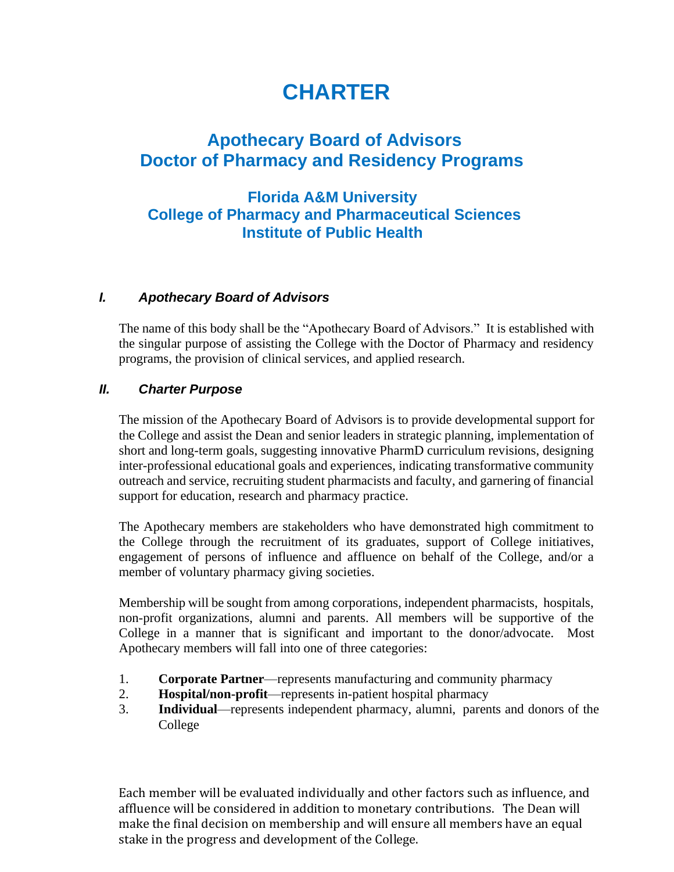# **CHARTER**

# **Apothecary Board of Advisors Doctor of Pharmacy and Residency Programs**

# **Florida A&M University College of Pharmacy and Pharmaceutical Sciences Institute of Public Health**

#### *I. Apothecary Board of Advisors*

The name of this body shall be the "Apothecary Board of Advisors." It is established with the singular purpose of assisting the College with the Doctor of Pharmacy and residency programs, the provision of clinical services, and applied research.

#### *II. Charter Purpose*

The mission of the Apothecary Board of Advisors is to provide developmental support for the College and assist the Dean and senior leaders in strategic planning, implementation of short and long-term goals, suggesting innovative PharmD curriculum revisions, designing inter-professional educational goals and experiences, indicating transformative community outreach and service, recruiting student pharmacists and faculty, and garnering of financial support for education, research and pharmacy practice.

The Apothecary members are stakeholders who have demonstrated high commitment to the College through the recruitment of its graduates, support of College initiatives, engagement of persons of influence and affluence on behalf of the College, and/or a member of voluntary pharmacy giving societies.

Membership will be sought from among corporations, independent pharmacists, hospitals, non-profit organizations, alumni and parents. All members will be supportive of the College in a manner that is significant and important to the donor/advocate. Most Apothecary members will fall into one of three categories:

- 1. **Corporate Partner**—represents manufacturing and community pharmacy
- 2. **Hospital/non-profit**—represents in-patient hospital pharmacy
- 3. **Individual**—represents independent pharmacy, alumni, parents and donors of the College

Each member will be evaluated individually and other factors such as influence, and affluence will be considered in addition to monetary contributions. The Dean will make the final decision on membership and will ensure all members have an equal stake in the progress and development of the College.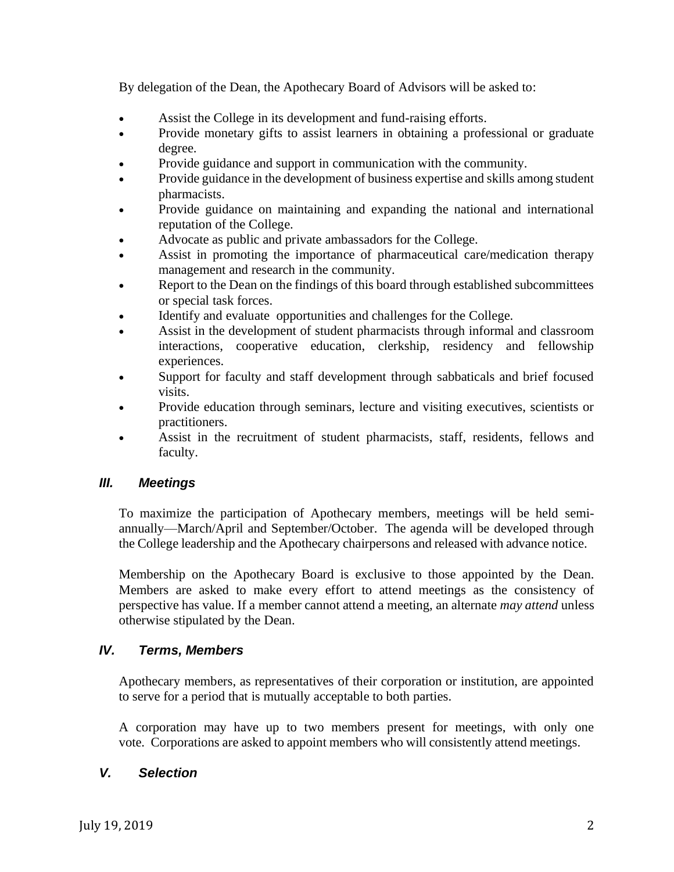By delegation of the Dean, the Apothecary Board of Advisors will be asked to:

- Assist the College in its development and fund-raising efforts.
- Provide monetary gifts to assist learners in obtaining a professional or graduate degree.
- Provide guidance and support in communication with the community.
- Provide guidance in the development of business expertise and skills among student pharmacists.
- Provide guidance on maintaining and expanding the national and international reputation of the College.
- Advocate as public and private ambassadors for the College.
- Assist in promoting the importance of pharmaceutical care/medication therapy management and research in the community.
- Report to the Dean on the findings of this board through established subcommittees or special task forces.
- Identify and evaluate opportunities and challenges for the College.
- Assist in the development of student pharmacists through informal and classroom interactions, cooperative education, clerkship, residency and fellowship experiences.
- Support for faculty and staff development through sabbaticals and brief focused visits.
- Provide education through seminars, lecture and visiting executives, scientists or practitioners.
- Assist in the recruitment of student pharmacists, staff, residents, fellows and faculty.

#### *III. Meetings*

To maximize the participation of Apothecary members, meetings will be held semiannually—March/April and September/October. The agenda will be developed through the College leadership and the Apothecary chairpersons and released with advance notice.

Membership on the Apothecary Board is exclusive to those appointed by the Dean. Members are asked to make every effort to attend meetings as the consistency of perspective has value. If a member cannot attend a meeting, an alternate *may attend* unless otherwise stipulated by the Dean.

## *IV. Terms, Members*

Apothecary members, as representatives of their corporation or institution, are appointed to serve for a period that is mutually acceptable to both parties.

A corporation may have up to two members present for meetings, with only one vote. Corporations are asked to appoint members who will consistently attend meetings.

#### *V. Selection*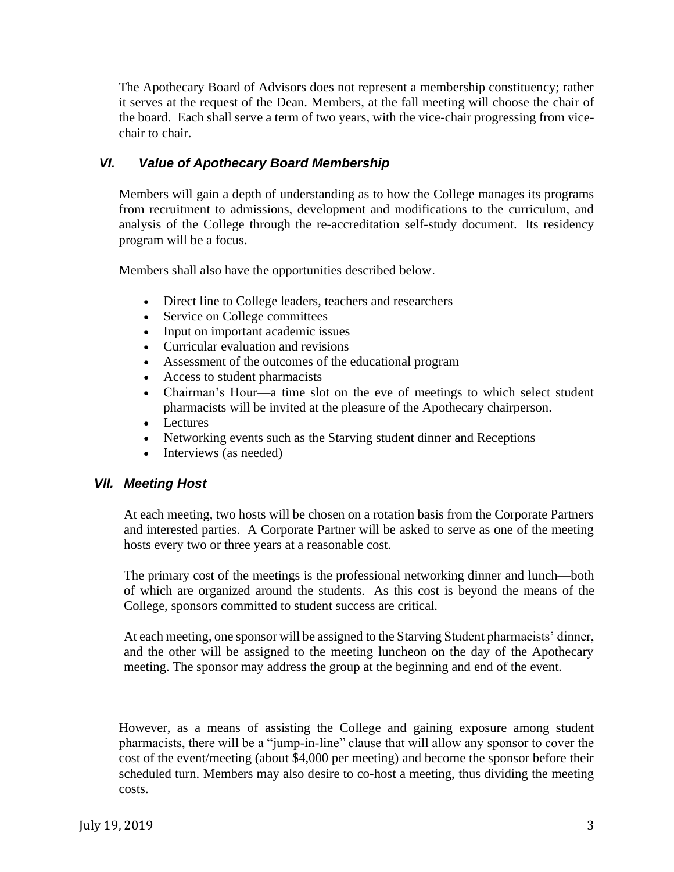The Apothecary Board of Advisors does not represent a membership constituency; rather it serves at the request of the Dean. Members, at the fall meeting will choose the chair of the board. Each shall serve a term of two years, with the vice-chair progressing from vicechair to chair.

### *VI. Value of Apothecary Board Membership*

Members will gain a depth of understanding as to how the College manages its programs from recruitment to admissions, development and modifications to the curriculum, and analysis of the College through the re-accreditation self-study document. Its residency program will be a focus.

Members shall also have the opportunities described below.

- Direct line to College leaders, teachers and researchers
- Service on College committees
- Input on important academic issues
- Curricular evaluation and revisions
- Assessment of the outcomes of the educational program
- Access to student pharmacists
- Chairman's Hour—a time slot on the eve of meetings to which select student pharmacists will be invited at the pleasure of the Apothecary chairperson.
- Lectures
- Networking events such as the Starving student dinner and Receptions
- Interviews (as needed)

#### *VII. Meeting Host*

At each meeting, two hosts will be chosen on a rotation basis from the Corporate Partners and interested parties. A Corporate Partner will be asked to serve as one of the meeting hosts every two or three years at a reasonable cost.

The primary cost of the meetings is the professional networking dinner and lunch—both of which are organized around the students. As this cost is beyond the means of the College, sponsors committed to student success are critical.

At each meeting, one sponsor will be assigned to the Starving Student pharmacists' dinner, and the other will be assigned to the meeting luncheon on the day of the Apothecary meeting. The sponsor may address the group at the beginning and end of the event.

However, as a means of assisting the College and gaining exposure among student pharmacists, there will be a "jump-in-line" clause that will allow any sponsor to cover the cost of the event/meeting (about \$4,000 per meeting) and become the sponsor before their scheduled turn. Members may also desire to co-host a meeting, thus dividing the meeting costs.